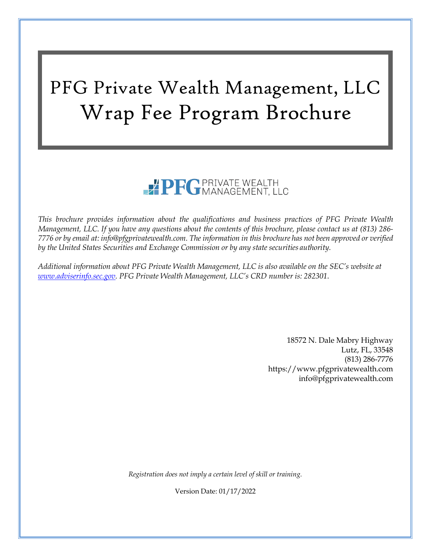# PFG Private Wealth Management, LLC Wrap Fee Program Brochure

# PFGPRIVATE WEALTH

*This brochure provides information about the qualifications and business practices of PFG Private Wealth Management, LLC. If you have any questions about the contents of this brochure, please contact us at (813) 286* 7776 or by email at: [info@pfgprivatewealth.com.](mailto:info@pfgprivatewealth.com) The information in this brochure has not been approved or verified *by the United States Securities and Exchange Commission or by any state securities authority.*

*Additional information about PFG Private Wealth Management, LLC is also available on the SEC's website at [www.adviserinfo.sec.gov.](http://www.adviserinfo.sec.gov/) PFG Private Wealth Management, LLC's CRD number is: 282301*.

> 18572 N. Dale Mabry Highway Lutz, FL, 33548 (813) 286-7776 https:[//www.pfgprivatewealth.com](http://www.pfgprivatewealth.com/) [info@pfgprivatewealth.com](mailto:info@pfgprivatewealth.com)

*Registration does not imply a certain level of skill or training.*

Version Date: 01/17/2022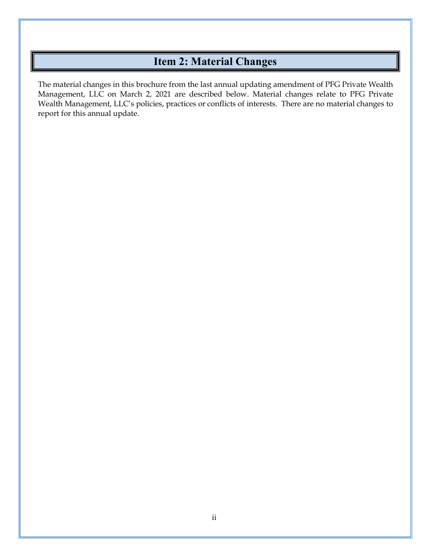# **Item 2: Material Changes**

<span id="page-1-0"></span>The material changes in this brochure from the last annual updating amendment of PFG Private Wealth Management, LLC on March 2, 2021 are described below. Material changes relate to PFG Private Wealth Management, LLC's policies, practices or conflicts of interests. There are no material changes to report for this annual update.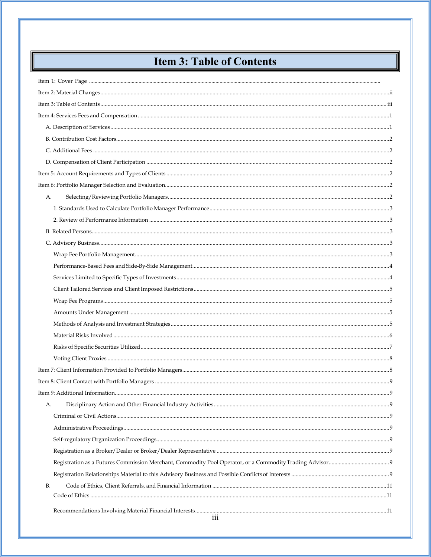# **Item 3: Table of Contents**

<span id="page-2-0"></span>

| А.  |  |
|-----|--|
|     |  |
|     |  |
|     |  |
|     |  |
|     |  |
|     |  |
|     |  |
|     |  |
|     |  |
|     |  |
|     |  |
|     |  |
|     |  |
|     |  |
|     |  |
|     |  |
|     |  |
| А.  |  |
|     |  |
|     |  |
|     |  |
|     |  |
|     |  |
|     |  |
| B.  |  |
|     |  |
| 111 |  |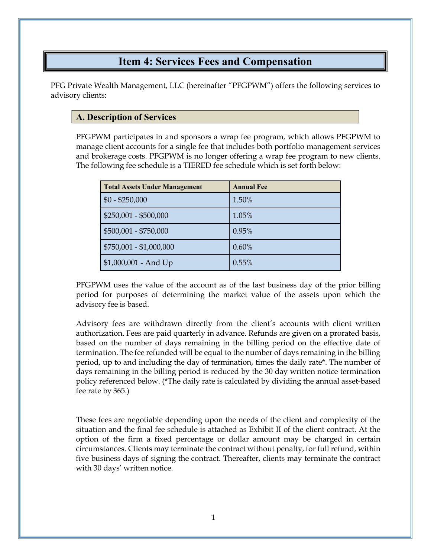## **Item 4: Services Fees and Compensation**

<span id="page-4-0"></span>PFG Private Wealth Management, LLC (hereinafter "PFGPWM") offers the following services to advisory clients:

## <span id="page-4-1"></span>**A. Description of Services**

PFGPWM participates in and sponsors a wrap fee program, which allows PFGPWM to manage client accounts for a single fee that includes both portfolio management services and brokerage costs. PFGPWM is no longer offering a wrap fee program to new clients. The following fee schedule is a TIERED fee schedule which is set forth below:

| <b>Total Assets Under Management</b> | <b>Annual Fee</b> |
|--------------------------------------|-------------------|
| $$0 - $250,000$                      | 1.50%             |
| $$250,001 - $500,000$                | 1.05%             |
| \$500,001 - \$750,000                | 0.95%             |
| \$750,001 - \$1,000,000              | $0.60\%$          |
| \$1,000,001 - And Up                 | 0.55%             |

PFGPWM uses the value of the account as of the last business day of the prior billing period for purposes of determining the market value of the assets upon which the advisory fee is based.

Advisory fees are withdrawn directly from the client's accounts with client written authorization. Fees are paid quarterly in advance. Refunds are given on a prorated basis, based on the number of days remaining in the billing period on the effective date of termination. The fee refunded will be equal to the number of days remaining in the billing period, up to and including the day of termination, times the daily rate\*. The number of days remaining in the billing period is reduced by the 30 day written notice termination policy referenced below. (\*The daily rate is calculated by dividing the annual asset-based fee rate by 365.)

These fees are negotiable depending upon the needs of the client and complexity of the situation and the final fee schedule is attached as Exhibit II of the client contract. At the option of the firm a fixed percentage or dollar amount may be charged in certain circumstances. Clients may terminate the contract without penalty, for full refund, within five business days of signing the contract. Thereafter, clients may terminate the contract with 30 days' written notice.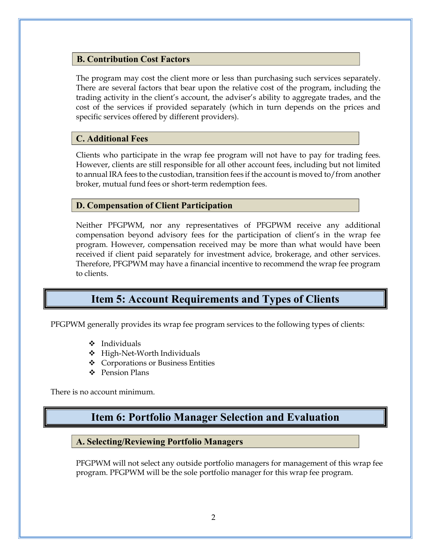## <span id="page-5-0"></span>**B. Contribution Cost Factors**

The program may cost the client more or less than purchasing such services separately. There are several factors that bear upon the relative cost of the program, including the trading activity in the client's account, the adviser's ability to aggregate trades, and the cost of the services if provided separately (which in turn depends on the prices and specific services offered by different providers).

## <span id="page-5-1"></span>**C. Additional Fees**

Clients who participate in the wrap fee program will not have to pay for trading fees. However, clients are still responsible for all other account fees, including but not limited to annual IRA fees to the custodian, transition fees if the account is moved to/from another broker, mutual fund fees or short-term redemption fees.

## <span id="page-5-2"></span>**D. Compensation of Client Participation**

Neither PFGPWM, nor any representatives of PFGPWM receive any additional compensation beyond advisory fees for the participation of client's in the wrap fee program. However, compensation received may be more than what would have been received if client paid separately for investment advice, brokerage, and other services. Therefore, PFGPWM may have a financial incentive to recommend the wrap fee program to clients.

## **Item 5: Account Requirements and Types of Clients**

<span id="page-5-3"></span>PFGPWM generally provides its wrap fee program services to the following types of clients:

- $\div$  Individuals
- High-Net-Worth Individuals
- Corporations or Business Entities
- $\div$  Pension Plans

<span id="page-5-4"></span>There is no account minimum.

## **Item 6: Portfolio Manager Selection and Evaluation**

#### <span id="page-5-5"></span>**A. Selecting/Reviewing Portfolio Managers**

PFGPWM will not select any outside portfolio managers for management of this wrap fee program. PFGPWM will be the sole portfolio manager for this wrap fee program.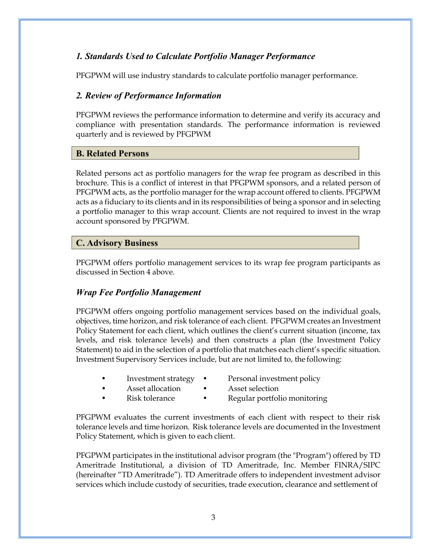## <span id="page-6-0"></span>*1. Standards Used to Calculate Portfolio Manager Performance*

PFGPWM will use industry standards to calculate portfolio manager performance.

## <span id="page-6-1"></span>*2. Review of Performance Information*

PFGPWM reviews the performance information to determine and verify its accuracy and compliance with presentation standards. The performance information is reviewed quarterly and is reviewed by PFGPWM

#### <span id="page-6-2"></span>**B. Related Persons**

Related persons act as portfolio managers for the wrap fee program as described in this brochure. This is a conflict of interest in that PFGPWM sponsors, and a related person of PFGPWM acts, as the portfolio manager for the wrap account offered to clients. PFGPWM acts as a fiduciary to its clients and in its responsibilities of being a sponsor and in selecting a portfolio manager to this wrap account. Clients are not required to invest in the wrap account sponsored by PFGPWM.

## <span id="page-6-3"></span>**C. Advisory Business**

PFGPWM offers portfolio management services to its wrap fee program participants as discussed in Section 4 above.

## <span id="page-6-4"></span>*Wrap Fee Portfolio Management*

PFGPWM offers ongoing portfolio management services based on the individual goals, objectives, time horizon, and risk tolerance of each client. PFGPWM creates an Investment Policy Statement for each client, which outlines the client's current situation (income, tax levels, and risk tolerance levels) and then constructs a plan (the Investment Policy Statement) to aid in the selection of a portfolio that matches each client's specific situation. Investment Supervisory Services include, but are not limited to, the following:

- Investment strategy Personal investment policy
	- Asset allocation Asset selection
- Risk tolerance Regular portfolio monitoring

PFGPWM evaluates the current investments of each client with respect to their risk tolerance levels and time horizon. Risk tolerance levels are documented in the Investment Policy Statement, which is given to each client.

PFGPWM participates in the institutional advisor program (the "Program") offered by TD Ameritrade Institutional, a division of TD Ameritrade, Inc. Member FINRA/SIPC (hereinafter "TD Ameritrade"). TD Ameritrade offers to independent investment advisor services which include custody of securities, trade execution, clearance and settlement of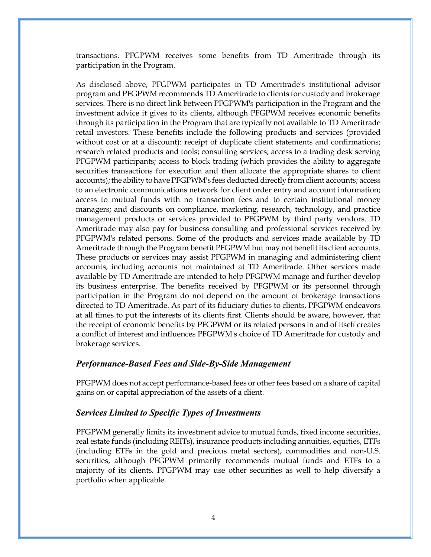transactions. PFGPWM receives some benefits from TD Ameritrade through its participation in the Program.

As disclosed above, PFGPWM participates in TD Ameritrade's institutional advisor program and PFGPWM recommends TD Ameritrade to clients for custody and brokerage services. There is no direct link between PFGPWM's participation in the Program and the investment advice it gives to its clients, although PFGPWM receives economic benefits through its participation in the Program that are typically not available to TD Ameritrade retail investors. These benefits include the following products and services (provided without cost or at a discount): receipt of duplicate client statements and confirmations; research related products and tools; consulting services; access to a trading desk serving PFGPWM participants; access to block trading (which provides the ability to aggregate securities transactions for execution and then allocate the appropriate shares to client accounts); the ability to have PFGPWM's fees deducted directly from client accounts; access to an electronic communications network for client order entry and account information; access to mutual funds with no transaction fees and to certain institutional money managers; and discounts on compliance, marketing, research, technology, and practice management products or services provided to PFGPWM by third party vendors. TD Ameritrade may also pay for business consulting and professional services received by PFGPWM's related persons. Some of the products and services made available by TD Ameritrade through the Program benefit PFGPWM but may not benefit its client accounts. These products or services may assist PFGPWM in managing and administering client accounts, including accounts not maintained at TD Ameritrade. Other services made available by TD Ameritrade are intended to help PFGPWM manage and further develop its business enterprise. The benefits received by PFGPWM or its personnel through participation in the Program do not depend on the amount of brokerage transactions directed to TD Ameritrade. As part of its fiduciary duties to clients, PFGPWM endeavors at all times to put the interests of its clients first. Clients should be aware, however, that the receipt of economic benefits by PFGPWM or its related persons in and of itself creates a conflict of interest and influences PFGPWM's choice of TD Ameritrade for custody and brokerage services.

#### <span id="page-7-0"></span>*Performance-Based Fees and Side-By-Side Management*

PFGPWM does not accept performance-based fees or other fees based on a share of capital gains on or capital appreciation of the assets of a client.

#### <span id="page-7-1"></span>*Services Limited to Specific Types of Investments*

PFGPWM generally limits its investment advice to mutual funds, fixed income securities, real estate funds (including REITs), insurance products including annuities, equities, ETFs (including ETFs in the gold and precious metal sectors), commodities and non-U.S. securities, although PFGPWM primarily recommends mutual funds and ETFs to a majority of its clients. PFGPWM may use other securities as well to help diversify a portfolio when applicable.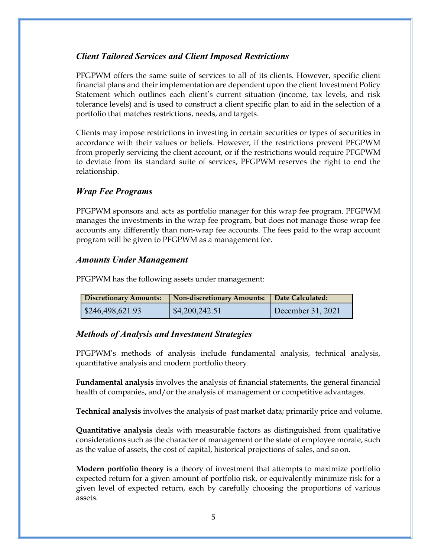## <span id="page-8-0"></span>*Client Tailored Services and Client Imposed Restrictions*

PFGPWM offers the same suite of services to all of its clients. However, specific client financial plans and their implementation are dependent upon the client Investment Policy Statement which outlines each client's current situation (income, tax levels, and risk tolerance levels) and is used to construct a client specific plan to aid in the selection of a portfolio that matches restrictions, needs, and targets.

Clients may impose restrictions in investing in certain securities or types of securities in accordance with their values or beliefs. However, if the restrictions prevent PFGPWM from properly servicing the client account, or if the restrictions would require PFGPWM to deviate from its standard suite of services, PFGPWM reserves the right to end the relationship.

## <span id="page-8-1"></span>*Wrap Fee Programs*

PFGPWM sponsors and acts as portfolio manager for this wrap fee program. PFGPWM manages the investments in the wrap fee program, but does not manage those wrap fee accounts any differently than non-wrap fee accounts. The fees paid to the wrap account program will be given to PFGPWM as a management fee.

## <span id="page-8-2"></span>*Amounts Under Management*

PFGPWM has the following assets under management:

| <b>Discretionary Amounts:</b> | Non-discretionary Amounts: | Date Calculated:  |
|-------------------------------|----------------------------|-------------------|
| $\frac{246,498,621.93}{$      | $\parallel$ \$4,200,242.51 | December 31, 2021 |

## <span id="page-8-3"></span>*Methods of Analysis and Investment Strategies*

PFGPWM's methods of analysis include fundamental analysis, technical analysis, quantitative analysis and modern portfolio theory.

**Fundamental analysis** involves the analysis of financial statements, the general financial health of companies, and/or the analysis of management or competitive advantages.

**Technical analysis** involves the analysis of past market data; primarily price and volume.

**Quantitative analysis** deals with measurable factors as distinguished from qualitative considerations such as the character of management or the state of employee morale, such as the value of assets, the cost of capital, historical projections of sales, and so on.

**Modern portfolio theory** is a theory of investment that attempts to maximize portfolio expected return for a given amount of portfolio risk, or equivalently minimize risk for a given level of expected return, each by carefully choosing the proportions of various assets.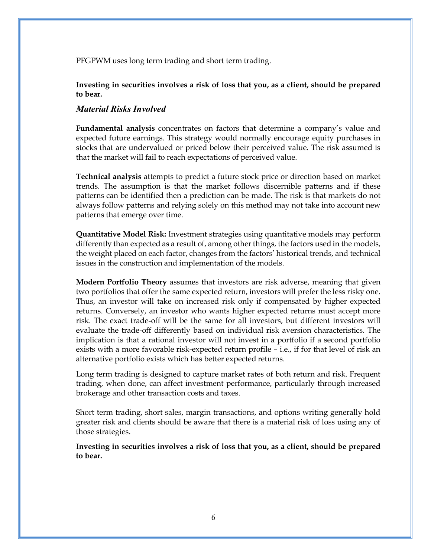PFGPWM uses long term trading and short term trading.

<span id="page-9-0"></span>**Investing in securities involves a risk of loss that you, as a client, should be prepared to bear.**

#### *Material Risks Involved*

**Fundamental analysis** concentrates on factors that determine a company's value and expected future earnings. This strategy would normally encourage equity purchases in stocks that are undervalued or priced below their perceived value. The risk assumed is that the market will fail to reach expectations of perceived value.

**Technical analysis** attempts to predict a future stock price or direction based on market trends. The assumption is that the market follows discernible patterns and if these patterns can be identified then a prediction can be made. The risk is that markets do not always follow patterns and relying solely on this method may not take into account new patterns that emerge over time.

**Quantitative Model Risk:** Investment strategies using quantitative models may perform differently than expected as a result of, among other things, the factors used in the models, the weight placed on each factor, changes from the factors' historical trends, and technical issues in the construction and implementation of the models.

**Modern Portfolio Theory** assumes that investors are risk adverse, meaning that given two portfolios that offer the same expected return, investors will prefer the less risky one. Thus, an investor will take on increased risk only if compensated by higher expected returns. Conversely, an investor who wants higher expected returns must accept more risk. The exact trade-off will be the same for all investors, but different investors will evaluate the trade-off differently based on individual risk aversion characteristics. The implication is that a rational investor will not invest in a portfolio if a second portfolio exists with a more favorable risk-expected return profile – i.e., if for that level of risk an alternative portfolio exists which has better expected returns.

Long term trading is designed to capture market rates of both return and risk. Frequent trading, when done, can affect investment performance, particularly through increased brokerage and other transaction costs and taxes.

Short term trading, short sales, margin transactions, and options writing generally hold greater risk and clients should be aware that there is a material risk of loss using any of those strategies.

**Investing in securities involves a risk of loss that you, as a client, should be prepared to bear.**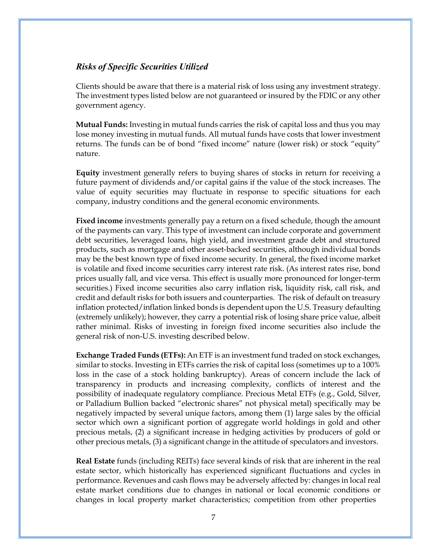## <span id="page-10-0"></span>*Risks of Specific Securities Utilized*

Clients should be aware that there is a material risk of loss using any investment strategy. The investment types listed below are not guaranteed or insured by the FDIC or any other government agency.

**Mutual Funds:** Investing in mutual funds carries the risk of capital loss and thus you may lose money investing in mutual funds. All mutual funds have costs that lower investment returns. The funds can be of bond "fixed income" nature (lower risk) or stock "equity" nature.

**Equity** investment generally refers to buying shares of stocks in return for receiving a future payment of dividends and/or capital gains if the value of the stock increases. The value of equity securities may fluctuate in response to specific situations for each company, industry conditions and the general economic environments.

**Fixed income** investments generally pay a return on a fixed schedule, though the amount of the payments can vary. This type of investment can include corporate and government debt securities, leveraged loans, high yield, and investment grade debt and structured products, such as mortgage and other asset-backed securities, although individual bonds may be the best known type of fixed income security. In general, the fixed income market is volatile and fixed income securities carry interest rate risk. (As interest rates rise, bond prices usually fall, and vice versa. This effect is usually more pronounced for longer-term securities.) Fixed income securities also carry inflation risk, liquidity risk, call risk, and credit and default risks for both issuers and counterparties. The risk of default on treasury inflation protected/inflation linked bonds is dependent upon the U.S. Treasury defaulting (extremely unlikely); however, they carry a potential risk of losing share price value, albeit rather minimal. Risks of investing in foreign fixed income securities also include the general risk of non-U.S. investing described below.

**Exchange Traded Funds (ETFs):** An ETF is an investment fund traded on stock exchanges, similar to stocks. Investing in ETFs carries the risk of capital loss (sometimes up to a 100% loss in the case of a stock holding bankruptcy). Areas of concern include the lack of transparency in products and increasing complexity, conflicts of interest and the possibility of inadequate regulatory compliance. Precious Metal ETFs (e.g., Gold, Silver, or Palladium Bullion backed "electronic shares" not physical metal) specifically may be negatively impacted by several unique factors, among them (1) large sales by the official sector which own a significant portion of aggregate world holdings in gold and other precious metals, (2) a significant increase in hedging activities by producers of gold or other precious metals, (3) a significant change in the attitude of speculators and investors.

**Real Estate** funds (including REITs) face several kinds of risk that are inherent in the real estate sector, which historically has experienced significant fluctuations and cycles in performance. Revenues and cash flows may be adversely affected by: changes in local real estate market conditions due to changes in national or local economic conditions or changes in local property market characteristics; competition from other properties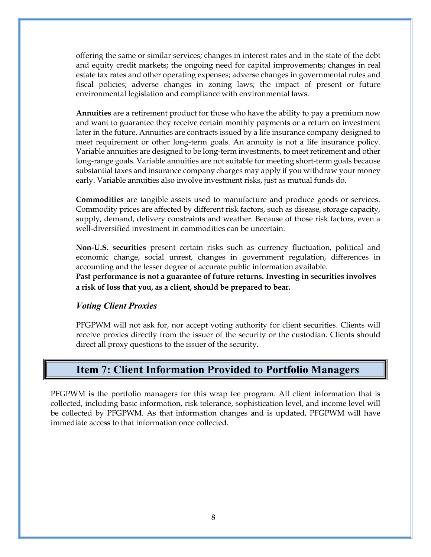offering the same or similar services; changes in interest rates and in the state of the debt and equity credit markets; the ongoing need for capital improvements; changes in real estate tax rates and other operating expenses; adverse changes in governmental rules and fiscal policies; adverse changes in zoning laws; the impact of present or future environmental legislation and compliance with environmental laws.

**Annuities** are a retirement product for those who have the ability to pay a premium now and want to guarantee they receive certain monthly payments or a return on investment later in the future. Annuities are contracts issued by a life insurance company designed to meet requirement or other long-term goals. An annuity is not a life insurance policy. Variable annuities are designed to be long-term investments, to meet retirement and other long-range goals. Variable annuities are not suitable for meeting short-term goals because substantial taxes and insurance company charges may apply if you withdraw your money early. Variable annuities also involve investment risks, just as mutual funds do.

**Commodities** are tangible assets used to manufacture and produce goods or services. Commodity prices are affected by different risk factors, such as disease, storage capacity, supply, demand, delivery constraints and weather. Because of those risk factors, even a well-diversified investment in commodities can be uncertain.

**Non-U.S. securities** present certain risks such as currency fluctuation, political and economic change, social unrest, changes in government regulation, differences in accounting and the lesser degree of accurate public information available.

**Past performance is not a guarantee of future returns. Investing in securities involves a risk of loss that you, as a client, should be prepared to bear.**

## <span id="page-11-0"></span>*Voting Client Proxies*

PFGPWM will not ask for, nor accept voting authority for client securities. Clients will receive proxies directly from the issuer of the security or the custodian. Clients should direct all proxy questions to the issuer of the security.

## **Item 7: Client Information Provided to Portfolio Managers**

<span id="page-11-1"></span>PFGPWM is the portfolio managers for this wrap fee program. All client information that is collected, including basic information, risk tolerance, sophistication level, and income level will be collected by PFGPWM. As that information changes and is updated, PFGPWM will have immediate access to that information once collected.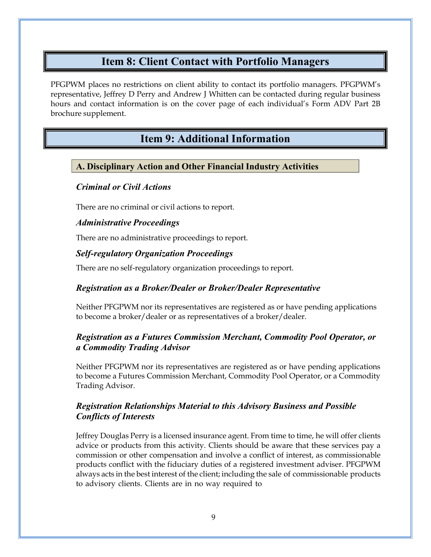## **Item 8: Client Contact with Portfolio Managers**

<span id="page-12-0"></span>PFGPWM places no restrictions on client ability to contact its portfolio managers. PFGPWM's representative, Jeffrey D Perry and Andrew J Whitten can be contacted during regular business hours and contact information is on the cover page of each individual's Form ADV Part 2B brochure supplement.

## **Item 9: Additional Information**

## <span id="page-12-2"></span><span id="page-12-1"></span>**A. Disciplinary Action and Other Financial Industry Activities**

## <span id="page-12-3"></span>*Criminal or Civil Actions*

There are no criminal or civil actions to report.

## <span id="page-12-4"></span>*Administrative Proceedings*

<span id="page-12-5"></span>There are no administrative proceedings to report.

## *Self-regulatory Organization Proceedings*

There are no self-regulatory organization proceedings to report.

## <span id="page-12-6"></span>*Registration as a Broker/Dealer or Broker/Dealer Representative*

Neither PFGPWM nor its representatives are registered as or have pending applications to become a broker/dealer or as representatives of a broker/dealer.

## <span id="page-12-7"></span>*Registration as a Futures Commission Merchant, Commodity Pool Operator, or a Commodity Trading Advisor*

Neither PFGPWM nor its representatives are registered as or have pending applications to become a Futures Commission Merchant, Commodity Pool Operator, or a Commodity Trading Advisor.

## <span id="page-12-8"></span>*Registration Relationships Material to this Advisory Business and Possible Conflicts of Interests*

Jeffrey Douglas Perry is a licensed insurance agent. From time to time, he will offer clients advice or products from this activity. Clients should be aware that these services pay a commission or other compensation and involve a conflict of interest, as commissionable products conflict with the fiduciary duties of a registered investment adviser. PFGPWM always acts in the best interest of the client; including the sale of commissionable products to advisory clients. Clients are in no way required to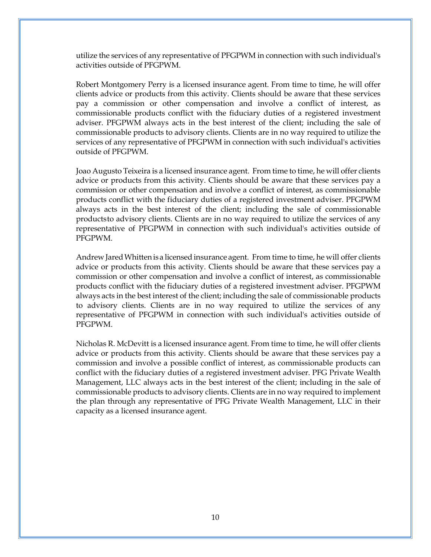utilize the services of any representative of PFGPWM in connection with such individual's activities outside of PFGPWM.

Robert Montgomery Perry is a licensed insurance agent. From time to time, he will offer clients advice or products from this activity. Clients should be aware that these services pay a commission or other compensation and involve a conflict of interest, as commissionable products conflict with the fiduciary duties of a registered investment adviser. PFGPWM always acts in the best interest of the client; including the sale of commissionable products to advisory clients. Clients are in no way required to utilize the services of any representative of PFGPWM in connection with such individual's activities outside of PFGPWM.

Joao Augusto Teixeira is a licensed insurance agent. From time to time, he will offer clients advice or products from this activity. Clients should be aware that these services pay a commission or other compensation and involve a conflict of interest, as commissionable products conflict with the fiduciary duties of a registered investment adviser. PFGPWM always acts in the best interest of the client; including the sale of commissionable productsto advisory clients. Clients are in no way required to utilize the services of any representative of PFGPWM in connection with such individual's activities outside of PFGPWM.

Andrew JaredWhitten is a licensed insurance agent. From time to time, he will offer clients advice or products from this activity. Clients should be aware that these services pay a commission or other compensation and involve a conflict of interest, as commissionable products conflict with the fiduciary duties of a registered investment adviser. PFGPWM always acts in the best interest of the client; including the sale of commissionable products to advisory clients. Clients are in no way required to utilize the services of any representative of PFGPWM in connection with such individual's activities outside of PFGPWM.

Nicholas R. McDevitt is a licensed insurance agent. From time to time, he will offer clients advice or products from this activity. Clients should be aware that these services pay a commission and involve a possible conflict of interest, as commissionable products can conflict with the fiduciary duties of a registered investment adviser. PFG Private Wealth Management, LLC always acts in the best interest of the client; including in the sale of commissionable products to advisory clients. Clients are in no way required to implement the plan through any representative of PFG Private Wealth Management, LLC in their capacity as a licensed insurance agent.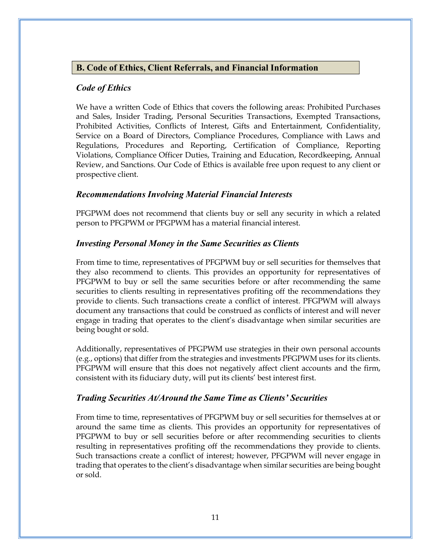## <span id="page-14-0"></span>**B. Code of Ethics, Client Referrals, and Financial Information**

## <span id="page-14-1"></span>*Code of Ethics*

We have a written Code of Ethics that covers the following areas: Prohibited Purchases and Sales, Insider Trading, Personal Securities Transactions, Exempted Transactions, Prohibited Activities, Conflicts of Interest, Gifts and Entertainment, Confidentiality, Service on a Board of Directors, Compliance Procedures, Compliance with Laws and Regulations, Procedures and Reporting, Certification of Compliance, Reporting Violations, Compliance Officer Duties, Training and Education, Recordkeeping, Annual Review, and Sanctions. Our Code of Ethics is available free upon request to any client or prospective client.

## <span id="page-14-2"></span>*Recommendations Involving Material Financial Interests*

PFGPWM does not recommend that clients buy or sell any security in which a related person to PFGPWM or PFGPWM has a material financial interest.

## <span id="page-14-3"></span>*Investing Personal Money in the Same Securities as Clients*

From time to time, representatives of PFGPWM buy or sell securities for themselves that they also recommend to clients. This provides an opportunity for representatives of PFGPWM to buy or sell the same securities before or after recommending the same securities to clients resulting in representatives profiting off the recommendations they provide to clients. Such transactions create a conflict of interest. PFGPWM will always document any transactions that could be construed as conflicts of interest and will never engage in trading that operates to the client's disadvantage when similar securities are being bought or sold.

Additionally, representatives of PFGPWM use strategies in their own personal accounts (e.g., options) that differ from the strategies and investments PFGPWM uses for its clients. PFGPWM will ensure that this does not negatively affect client accounts and the firm, consistent with its fiduciary duty, will put its clients' best interest first.

## <span id="page-14-4"></span>*Trading Securities At/Around the Same Time as Clients' Securities*

From time to time, representatives of PFGPWM buy or sell securities for themselves at or around the same time as clients. This provides an opportunity for representatives of PFGPWM to buy or sell securities before or after recommending securities to clients resulting in representatives profiting off the recommendations they provide to clients. Such transactions create a conflict of interest; however, PFGPWM will never engage in trading that operates to the client's disadvantage when similar securities are being bought or sold.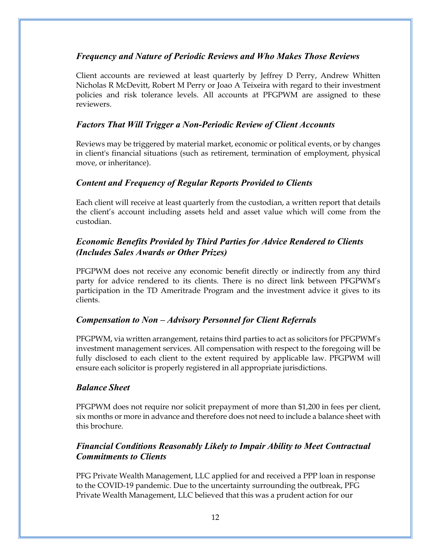## <span id="page-15-0"></span>*Frequency and Nature of Periodic Reviews and Who Makes Those Reviews*

Client accounts are reviewed at least quarterly by Jeffrey D Perry, Andrew Whitten Nicholas R McDevitt, Robert M Perry or Joao A Teixeira with regard to their investment policies and risk tolerance levels. All accounts at PFGPWM are assigned to these reviewers.

## <span id="page-15-1"></span>*Factors That Will Trigger a Non-Periodic Review of Client Accounts*

Reviews may be triggered by material market, economic or political events, or by changes in client's financial situations (such as retirement, termination of employment, physical move, or inheritance).

## <span id="page-15-2"></span>*Content and Frequency of Regular Reports Provided to Clients*

Each client will receive at least quarterly from the custodian, a written report that details the client's account including assets held and asset value which will come from the custodian.

## <span id="page-15-3"></span>*Economic Benefits Provided by Third Parties for Advice Rendered to Clients (Includes Sales Awards or Other Prizes)*

PFGPWM does not receive any economic benefit directly or indirectly from any third party for advice rendered to its clients. There is no direct link between PFGPWM's participation in the TD Ameritrade Program and the investment advice it gives to its clients.

## <span id="page-15-4"></span>*Compensation to Non – Advisory Personnel for Client Referrals*

PFGPWM, via written arrangement, retains third parties to act as solicitors for PFGPWM's investment management services. All compensation with respect to the foregoing will be fully disclosed to each client to the extent required by applicable law. PFGPWM will ensure each solicitor is properly registered in all appropriate jurisdictions.

## <span id="page-15-5"></span>*Balance Sheet*

PFGPWM does not require nor solicit prepayment of more than \$1,200 in fees per client, six months or more in advance and therefore does not need to include a balance sheet with this brochure.

## <span id="page-15-6"></span>*Financial Conditions Reasonably Likely to Impair Ability to Meet Contractual Commitments to Clients*

PFG Private Wealth Management, LLC applied for and received a PPP loan in response to the COVID-19 pandemic. Due to the uncertainty surrounding the outbreak, PFG Private Wealth Management, LLC believed that this was a prudent action for our